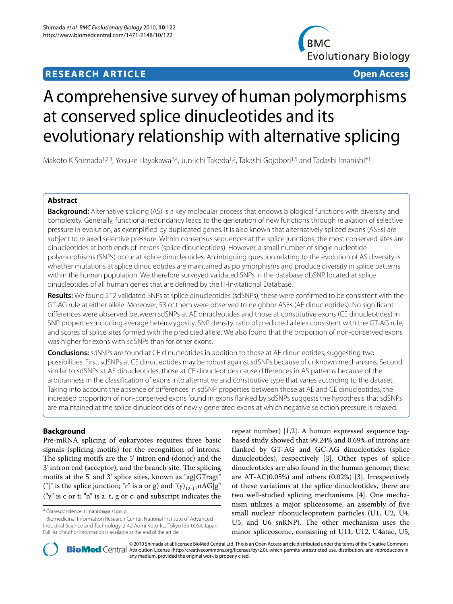# **RESEARCH ARTICLE Open Access**



# A comprehensive survey of human polymorphisms at conserved splice dinucleotides and its evolutionary relationship with alternative splicing

Makoto K Shimada<sup>1,2,3</sup>, Yosuke Hayakawa<sup>2,4</sup>, Jun-ichi Takeda<sup>1,2</sup>, Takashi Gojobori<sup>1,5</sup> and Tadashi Imanishi\*<sup>1</sup>

# **Abstract**

**Background:** Alternative splicing (AS) is a key molecular process that endows biological functions with diversity and complexity. Generally, functional redundancy leads to the generation of new functions through relaxation of selective pressure in evolution, as exemplified by duplicated genes. It is also known that alternatively spliced exons (ASEs) are subject to relaxed selective pressure. Within consensus sequences at the splice junctions, the most conserved sites are dinucleotides at both ends of introns (splice dinucleotides). However, a small number of single nucleotide polymorphisms (SNPs) occur at splice dinucleotides. An intriguing question relating to the evolution of AS diversity is whether mutations at splice dinucleotides are maintained as polymorphisms and produce diversity in splice patterns within the human population. We therefore surveyed validated SNPs in the database dbSNP located at splice dinucleotides of all human genes that are defined by the H-Invitational Database.

**Results:** We found 212 validated SNPs at splice dinucleotides (sdSNPs); these were confirmed to be consistent with the GT-AG rule at either allele. Moreover, 53 of them were observed to neighbor ASEs (AE dinucleotides). No significant differences were observed between sdSNPs at AE dinucleotides and those at constitutive exons (CE dinucleotides) in SNP properties including average heterozygosity, SNP density, ratio of predicted alleles consistent with the GT-AG rule, and scores of splice sites formed with the predicted allele. We also found that the proportion of non-conserved exons was higher for exons with sdSNPs than for other exons.

**Conclusions:** sdSNPs are found at CE dinucleotides in addition to those at AE dinucleotides, suggesting two possibilities. First, sdSNPs at CE dinucleotides may be robust against sdSNPs because of unknown mechanisms. Second, similar to sdSNPs at AE dinucleotides, those at CE dinucleotides cause differences in AS patterns because of the arbitrariness in the classification of exons into alternative and constitutive type that varies according to the dataset. Taking into account the absence of differences in sdSNP properties between those at AE and CE dinucleotides, the increased proportion of non-conserved exons found in exons flanked by sdSNPs suggests the hypothesis that sdSNPs are maintained at the splice dinucleotides of newly generated exons at which negative selection pressure is relaxed.

# **Background**

Pre-mRNA splicing of eukaryotes requires three basic signals (splicing motifs) for the recognition of introns. The splicing motifs are the 5' intron end (donor) and the 3' intron end (acceptor), and the branch site. The splicing motifs at the 5' and 3' splice sites, known as "ag|GTragt" ("|" is the splice junction; "r" is a or g) and " $(y)_{12-17}$ nAG|g" ("y" is c or t; "n" is a, t, g or c; and subscript indicates the

repeat number) [[1,](#page-10-0)[2\]](#page-10-1). A human expressed sequence tagbased study showed that 99.24% and 0.69% of introns are flanked by GT-AG and GC-AG dinucleotides (splice dinucleotides), respectively [[3\]](#page-10-2). Other types of splice dinucleotides are also found in the human genome; these are AT-AC(0.05%) and others (0.02%) [\[3](#page-10-2)]. Irrespectively of these variations at the splice dinucleotides, there are two well-studied splicing mechanisms [\[4\]](#page-10-3). One mechanism utilizes a major spliceosome, an assembly of five small nuclear ribonucleoprotein particles (U1, U2, U4, U5, and U6 snRNP). The other mechanism uses the minor spliceosome, consisting of U11, U12, U4atac, U5,



2010 Shimada et al; licensee [BioMed](http://www.biomedcentral.com/) Central Ltd. This is an Open Access article distributed under the terms of the Creative Commons (http://creativecommons.org/licenses/by/2.0), which permits unrestricted use, distribution any medium, provided the original work is properly cited.

<sup>\*</sup> Correspondence: t.imanishi@aist.go.jp

<sup>1</sup> Biomedicinal Information Research Center, National Institute of Advanced Industrial Science and Technology, 2-42 Aomi Koto-ku, Tokyo135-0064, Japan Full list of author information is available at the end of the article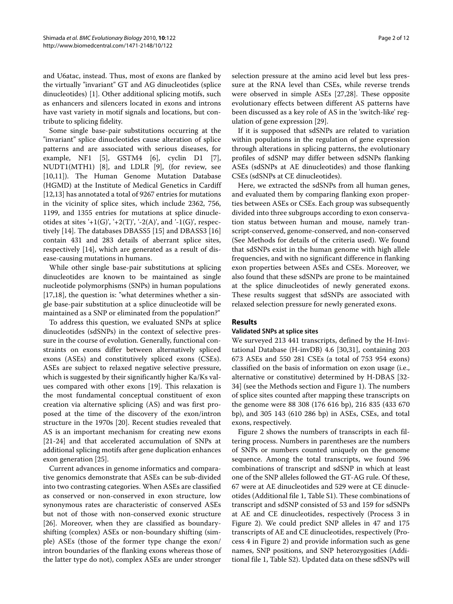and U6atac, instead. Thus, most of exons are flanked by the virtually "invariant" GT and AG dinucleotides (splice dinucleotides) [[1\]](#page-10-0). Other additional splicing motifs, such as enhancers and silencers located in exons and introns have vast variety in motif signals and locations, but contribute to splicing fidelity.

Some single base-pair substitutions occurring at the "invariant" splice dinucleotides cause alteration of splice patterns and are associated with serious diseases, for example, NF1 [[5\]](#page-10-4), GSTM4 [\[6](#page-10-5)], cyclin D1 [\[7](#page-10-6)], NUDT1(MTH1) [[8\]](#page-10-7), and LDLR [\[9](#page-10-8)], (for review, see [[10,](#page-10-9)[11\]](#page-10-10)). The Human Genome Mutation Database (HGMD) at the Institute of Medical Genetics in Cardiff [[12,](#page-10-11)[13\]](#page-10-12) has annotated a total of 9267 entries for mutations in the vicinity of splice sites, which include 2362, 756, 1199, and 1355 entries for mutations at splice dinucleotides at sites '+1(G)', '+2(T)', '-2(A)', and '-1(G)', respectively [\[14](#page-10-13)]. The databases DBASS5 [\[15](#page-10-14)] and DBASS3 [[16](#page-10-15)] contain 431 and 283 details of aberrant splice sites, respectively [[14](#page-10-13)], which are generated as a result of disease-causing mutations in humans.

While other single base-pair substitutions at splicing dinucleotides are known to be maintained as single nucleotide polymorphisms (SNPs) in human populations [[17,](#page-10-16)[18\]](#page-10-17), the question is: "what determines whether a single base-pair substitution at a splice dinucleotide will be maintained as a SNP or eliminated from the population?"

To address this question, we evaluated SNPs at splice dinucleotides (sdSNPs) in the context of selective pressure in the course of evolution. Generally, functional constraints on exons differ between alternatively spliced exons (ASEs) and constitutively spliced exons (CSEs). ASEs are subject to relaxed negative selective pressure, which is suggested by their significantly higher Ka/Ks values compared with other exons [[19\]](#page-10-18). This relaxation is the most fundamental conceptual constituent of exon creation via alternative splicing (AS) and was first proposed at the time of the discovery of the exon/intron structure in the 1970s [[20\]](#page-10-19). Recent studies revealed that AS is an important mechanism for creating new exons [[21-](#page-10-20)[24](#page-10-21)] and that accelerated accumulation of SNPs at additional splicing motifs after gene duplication enhances exon generation [[25\]](#page-10-22).

Current advances in genome informatics and comparative genomics demonstrate that ASEs can be sub-divided into two contrasting categories. When ASEs are classified as conserved or non-conserved in exon structure, low synonymous rates are characteristic of conserved ASEs but not of those with non-conserved exonic structure [[26\]](#page-10-23). Moreover, when they are classified as boundaryshifting (complex) ASEs or non-boundary shifting (simple) ASEs (those of the former type change the exon/ intron boundaries of the flanking exons whereas those of the latter type do not), complex ASEs are under stronger

selection pressure at the amino acid level but less pressure at the RNA level than CSEs, while reverse trends were observed in simple ASEs [[27,](#page-11-0)[28\]](#page-11-1). These opposite evolutionary effects between different AS patterns have been discussed as a key role of AS in the 'switch-like' regulation of gene expression [\[29](#page-11-2)].

If it is supposed that sdSNPs are related to variation within populations in the regulation of gene expression through alterations in splicing patterns, the evolutionary profiles of sdSNP may differ between sdSNPs flanking ASEs (sdSNPs at AE dinucleotides) and those flanking CSEs (sdSNPs at CE dinucleotides).

Here, we extracted the sdSNPs from all human genes, and evaluated them by comparing flanking exon properties between ASEs or CSEs. Each group was subsequently divided into three subgroups according to exon conservation status between human and mouse, namely transcript-conserved, genome-conserved, and non-conserved (See Methods for details of the criteria used). We found that sdSNPs exist in the human genome with high allele frequencies, and with no significant difference in flanking exon properties between ASEs and CSEs. Moreover, we also found that these sdSNPs are prone to be maintained at the splice dinucleotides of newly generated exons. These results suggest that sdSNPs are associated with relaxed selection pressure for newly generated exons.

#### **Results**

#### **Validated SNPs at splice sites**

We surveyed 213 441 transcripts, defined by the H-Invitational Database (H-invDB) 4.6 [[30,](#page-11-3)[31\]](#page-11-4), containing 203 673 ASEs and 550 281 CSEs (a total of 753 954 exons) classified on the basis of information on exon usage (i.e., alternative or constitutive) determined by H-DBAS [\[32](#page-11-5)- [34\]](#page-11-6) (see the Methods section and Figure [1\)](#page-2-0). The numbers of splice sites counted after mapping these transcripts on the genome were 88 308 (176 616 bp), 216 835 (433 670 bp), and 305 143 (610 286 bp) in ASEs, CSEs, and total exons, respectively.

Figure [2](#page-3-0) shows the numbers of transcripts in each filtering process. Numbers in parentheses are the numbers of SNPs or numbers counted uniquely on the genome sequence. Among the total transcripts, we found 596 combinations of transcript and sdSNP in which at least one of the SNP alleles followed the GT-AG rule. Of these, 67 were at AE dinucleotides and 529 were at CE dinucleotides (Additional file [1,](#page-10-24) Table S1). These combinations of transcript and sdSNP consisted of 53 and 159 for sdSNPs at AE and CE dinucleotides, respectively (Process 3 in Figure [2\)](#page-3-0). We could predict SNP alleles in 47 and 175 transcripts of AE and CE dinucleotides, respectively (Process 4 in Figure [2](#page-3-0)) and provide information such as gene names, SNP positions, and SNP heterozygosities (Additional file [1](#page-10-24), Table S2). Updated data on these sdSNPs will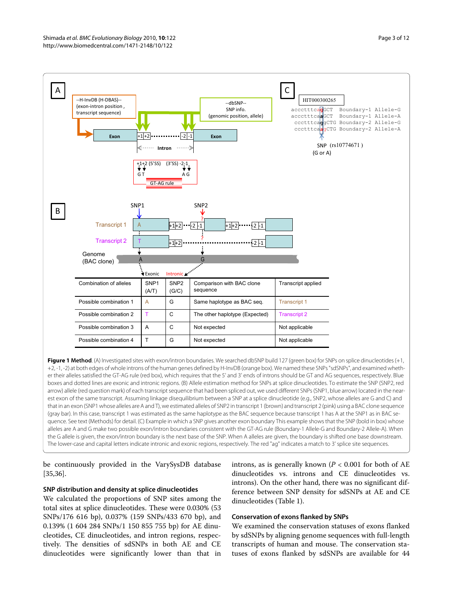<span id="page-2-0"></span>

**Figure 1 Method**. (A) Investigated sites with exon/intron boundaries. We searched dbSNP build 127 (green box) for SNPs on splice dinucleotides (+1, +2, -1, -2) at both edges of whole introns of the human genes defined by H-InvDB (orange box). We named these SNPs "sdSNPs", and examined whether their alleles satisfied the GT-AG rule (red box), which requires that the 5' and 3' ends of introns should be GT and AG sequences, respectively. Blue boxes and dotted lines are exonic and intronic regions. (B) Allele estimation method for SNPs at splice dinucleotides. To estimate the SNP (SNP2, red arrow) allele (red question mark) of each transcript sequence that had been spliced out, we used different SNPs (SNP1, blue arrow) located in the nearest exon of the same transcript. Assuming linkage disequilibrium between a SNP at a splice dinucleotide (e.g., SNP2, whose alleles are G and C) and that in an exon (SNP1 whose alleles are A and T), we estimated alleles of SNP2 in transcript 1 (brown) and transcript 2 (pink) using a BAC clone sequence (gray bar). In this case, transcript 1 was estimated as the same haplotype as the BAC sequence because transcript 1 has A at the SNP1 as in BAC sequence. See text (Methods) for detail. (C) Example in which a SNP gives another exon boundary This example shows that the SNP (bold in box) whose alleles are A and G make two possible exon/intron boundaries consistent with the GT-AG rule (Boundary-1 Allele-G and Boundary-2 Allele-A). When the G allele is given, the exon/intron boundary is the next base of the SNP. When A alleles are given, the boundary is shifted one base downstream. The lower-case and capital letters indicate intronic and exonic regions, respectively. The red "ag" indicates a match to 3' splice site sequences.

be continuously provided in the VarySysDB database [[35,](#page-11-7)[36\]](#page-11-8).

#### **SNP distribution and density at splice dinucleotides**

We calculated the proportions of SNP sites among the total sites at splice dinucleotides. These were 0.030% (53 SNPs/176 616 bp), 0.037% (159 SNPs/433 670 bp), and 0.139% (1 604 284 SNPs/1 150 855 755 bp) for AE dinucleotides, CE dinucleotides, and intron regions, respectively. The densities of sdSNPs in both AE and CE dinucleotides were significantly lower than that in introns, as is generally known ( $P < 0.001$  for both of AE dinucleotides vs. introns and CE dinucleotides vs. introns). On the other hand, there was no significant difference between SNP density for sdSNPs at AE and CE dinucleotides (Table 1).

#### **Conservation of exons flanked by SNPs**

We examined the conservation statuses of exons flanked by sdSNPs by aligning genome sequences with full-length transcripts of human and mouse. The conservation statuses of exons flanked by sdSNPs are available for 44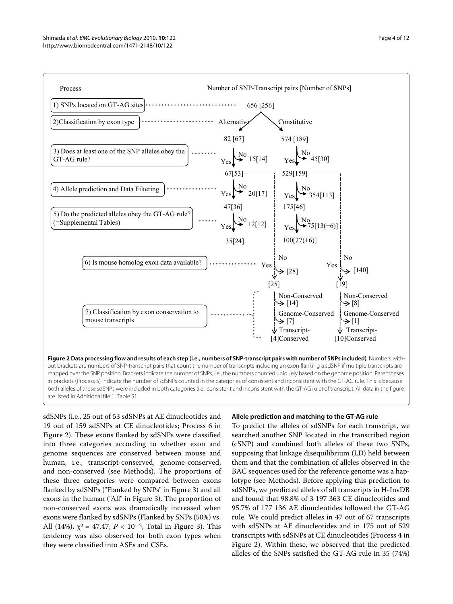<span id="page-3-0"></span>

are listed in Additional file [1,](#page-10-24) Table S1.

sdSNPs (i.e., 25 out of 53 sdSNPs at AE dinucleotides and 19 out of 159 sdSNPs at CE dinucleotides; Process 6 in Figure [2](#page-3-0)). These exons flanked by sdSNPs were classified into three categories according to whether exon and genome sequences are conserved between mouse and human, i.e., transcript-conserved, genome-conserved, and non-conserved (see Methods). The proportions of these three categories were compared between exons flanked by sdSNPs ("Flanked by SNPs" in Figure [3](#page-5-0)) and all exons in the human ("All" in Figure [3\)](#page-5-0). The proportion of non-conserved exons was dramatically increased when exons were flanked by sdSNPs (Flanked by SNPs (50%) vs. All (14%),  $\chi^2 = 47.47$ ,  $P < 10^{-12}$ , Total in Figure [3](#page-5-0)). This tendency was also observed for both exon types when they were classified into ASEs and CSEs.

#### **Allele prediction and matching to the GT-AG rule**

To predict the alleles of sdSNPs for each transcript, we searched another SNP located in the transcribed region (cSNP) and combined both alleles of these two SNPs, supposing that linkage disequilibrium (LD) held between them and that the combination of alleles observed in the BAC sequences used for the reference genome was a haplotype (see Methods). Before applying this prediction to sdSNPs, we predicted alleles of all transcripts in H-InvDB and found that 98.8% of 3 197 363 CE dinucleotides and 95.7% of 177 136 AE dinucleotides followed the GT-AG rule. We could predict alleles in 47 out of 67 transcripts with sdSNPs at AE dinucleotides and in 175 out of 529 transcripts with sdSNPs at CE dinucleotides (Process 4 in Figure [2](#page-3-0)). Within these, we observed that the predicted alleles of the SNPs satisfied the GT-AG rule in 35 (74%)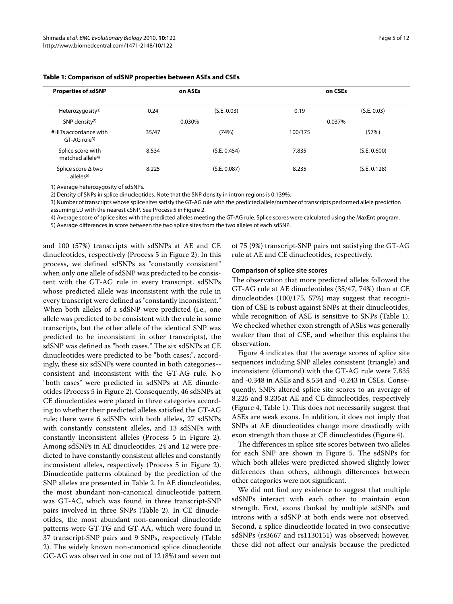| <b>Properties of sdSNP</b>                         | on ASEs |              | on CSEs |              |  |
|----------------------------------------------------|---------|--------------|---------|--------------|--|
| Heterozygosity <sup>1)</sup>                       | 0.24    | (S.E. 0.03)  | 0.19    | (S.E. 0.03)  |  |
| SNP density <sup>2)</sup>                          | 0.030%  |              | 0.037%  |              |  |
| #HITs accordance with<br>$GT-AG rule3$             | 35/47   | (74%)        | 100/175 | (57%)        |  |
| Splice score with<br>matched allele <sup>4)</sup>  | 8.534   | (S.E. 0.454) | 7.835   | (S.E. 0.600) |  |
| Splice score $\Delta$ two<br>alleles <sup>5)</sup> | 8.225   | (S.E. 0.087) | 8.235   | (S.E. 0.128) |  |

#### **Table 1: Comparison of sdSNP properties between ASEs and CSEs**

1) Average heterozygosity of sdSNPs.

2) Density of SNPs in splice dinucleotides. Note that the SNP density in intron regions is 0.139%.

3) Number of transcripts whose splice sites satisfy the GT-AG rule with the predicted allele/number of transcripts performed allele prediction assuming LD with the nearest cSNP. See Process 5 in Figure 2.

4) Average score of splice sites with the predicted alleles meeting the GT-AG rule. Splice scores were calculated using the MaxEnt program. 5) Average differences in score between the two splice sites from the two alleles of each sdSNP.

and 100 (57%) transcripts with sdSNPs at AE and CE dinucleotides, respectively (Process 5 in Figure [2](#page-3-0)). In this process, we defined sdSNPs as "constantly consistent" when only one allele of sdSNP was predicted to be consistent with the GT-AG rule in every transcript. sdSNPs whose predicted allele was inconsistent with the rule in every transcript were defined as "constantly inconsistent." When both alleles of a sdSNP were predicted (i.e., one allele was predicted to be consistent with the rule in some transcripts, but the other allele of the identical SNP was predicted to be inconsistent in other transcripts), the sdSNP was defined as "both cases." The six sdSNPs at CE dinucleotides were predicted to be "both cases;", accordingly, these six sdSNPs were counted in both categories- consistent and inconsistent with the GT-AG rule. No "both cases" were predicted in sdSNPs at AE dinucleotides (Process 5 in Figure [2](#page-3-0)). Consequently, 46 sdSNPs at CE dinucleotides were placed in three categories according to whether their predicted alleles satisfied the GT-AG rule; there were 6 sdSNPs with both alleles, 27 sdSNPs with constantly consistent alleles, and 13 sdSNPs with constantly inconsistent alleles (Process 5 in Figure [2](#page-3-0)). Among sdSNPs in AE dinucleotides, 24 and 12 were predicted to have constantly consistent alleles and constantly inconsistent alleles, respectively (Process 5 in Figure [2](#page-3-0)). Dinucleotide patterns obtained by the prediction of the SNP alleles are presented in Table [2](#page-6-0). In AE dinucleotides, the most abundant non-canonical dinucleotide pattern was GT-AC, which was found in three transcript-SNP pairs involved in three SNPs (Table 2). In CE dinucleotides, the most abundant non-canonical dinucleotide patterns were GT-TG and GT-AA, which were found in 37 transcript-SNP pairs and 9 SNPs, respectively (Table 2). The widely known non-canonical splice dinucleotide GC-AG was observed in one out of 12 (8%) and seven out of 75 (9%) transcript-SNP pairs not satisfying the GT-AG rule at AE and CE dinucleotides, respectively.

#### **Comparison of splice site scores**

The observation that more predicted alleles followed the GT-AG rule at AE dinucleotides (35/47, 74%) than at CE dinucleotides (100/175, 57%) may suggest that recognition of CSE is robust against SNPs at their dinucleotides, while recognition of ASE is sensitive to SNPs (Table 1). We checked whether exon strength of ASEs was generally weaker than that of CSE, and whether this explains the observation.

Figure [4](#page-7-0) indicates that the average scores of splice site sequences including SNP alleles consistent (triangle) and inconsistent (diamond) with the GT-AG rule were 7.835 and -0.348 in ASEs and 8.534 and -0.243 in CSEs. Consequently, SNPs altered splice site scores to an average of 8.225 and 8.235at AE and CE dinucleotides, respectively (Figure [4](#page-7-0), Table 1). This does not necessarily suggest that ASEs are weak exons. In addition, it does not imply that SNPs at AE dinucleotides change more drastically with exon strength than those at CE dinucleotides (Figure [4](#page-7-0)).

The differences in splice site scores between two alleles for each SNP are shown in Figure [5.](#page-8-0) The sdSNPs for which both alleles were predicted showed slightly lower differences than others, although differences between other categories were not significant.

We did not find any evidence to suggest that multiple sdSNPs interact with each other to maintain exon strength. First, exons flanked by multiple sdSNPs and introns with a sdSNP at both ends were not observed. Second, a splice dinucleotide located in two consecutive sdSNPs (rs3667 and rs1130151) was observed; however, these did not affect our analysis because the predicted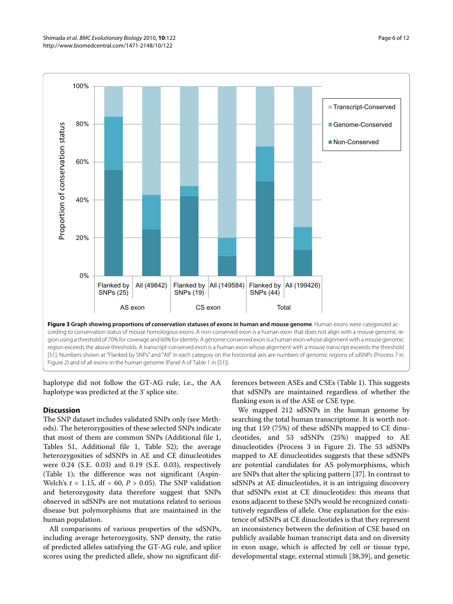<span id="page-5-0"></span>

Figure 2) and of all exons in the human genome (Panel A of Table 1 in [\[51\]](#page-11-12)).

haplotype did not follow the GT-AG rule, i.e., the AA haplotype was predicted at the 3' splice site.

#### **Discussion**

The SNP dataset includes validated SNPs only (see Methods). The heterozygosities of these selected SNPs indicate that most of them are common SNPs (Additional file [1](#page-10-24), Tables S1, Additional file [1,](#page-10-24) Table S2); the average heterozygosities of sdSNPs in AE and CE dinucleotides were 0.24 (S.E. 0.03) and 0.19 (S.E. 0.03), respectively (Table 1); the difference was not significant (Aspin-Welch's  $t = 1.15$ , df = 60,  $P > 0.05$ ). The SNP validation and heterozygosity data therefore suggest that SNPs observed in sdSNPs are not mutations related to serious disease but polymorphisms that are maintained in the human population.

All comparisons of various properties of the sdSNPs, including average heterozygosity, SNP density, the ratio of predicted alleles satisfying the GT-AG rule, and splice scores using the predicted allele, show no significant differences between ASEs and CSEs (Table 1). This suggests that sdSNPs are maintained regardless of whether the flanking exon is of the ASE or CSE type.

We mapped 212 sdSNPs in the human genome by searching the total human transcriptome. It is worth noting that 159 (75%) of these sdSNPs mapped to CE dinucleotides, and 53 sdSNPs (25%) mapped to AE dinucleotides (Process 3 in Figure [2\)](#page-3-0). The 53 sdSNPs mapped to AE dinucleotides suggests that these sdSNPs are potential candidates for AS polymorphisms, which are SNPs that alter the splicing pattern [\[37](#page-11-9)]. In contrast to sdSNPs at AE dinucleotides, it is an intriguing discovery that sdSNPs exist at CE dinucleotides: this means that exons adjacent to these SNPs would be recognized constitutively regardless of allele. One explanation for the existence of sdSNPs at CE dinucleotides is that they represent an inconsistency between the definition of CSE based on publicly available human transcript data and on diversity in exon usage, which is affected by cell or tissue type, developmental stage, external stimuli [[38,](#page-11-10)[39\]](#page-11-11), and genetic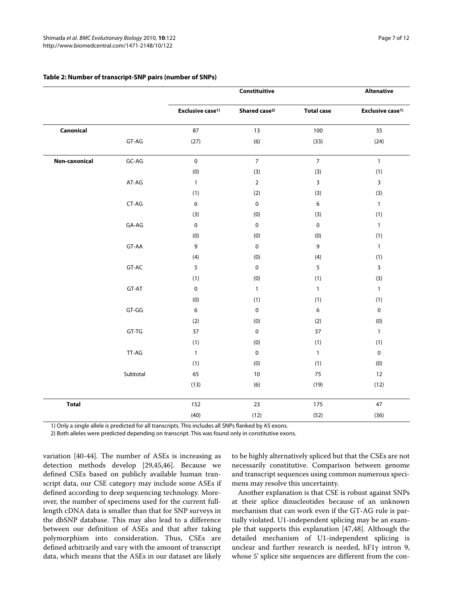|               |          | Constituitive                |                           |                   | <b>Altenative</b>            |
|---------------|----------|------------------------------|---------------------------|-------------------|------------------------------|
|               |          | Exclusive case <sup>1)</sup> | Shared case <sup>2)</sup> | <b>Total case</b> | Exclusive case <sup>1)</sup> |
| Canonical     |          | 87                           | 13                        | 100               | 35                           |
|               | GT-AG    | (27)                         | (6)                       | (33)              | (24)                         |
| Non-canonical | $GC-AG$  | $\pmb{0}$                    | $\overline{7}$            | $\overline{7}$    | $\mathbf{1}$                 |
|               |          | (0)                          | (3)                       | (3)               | (1)                          |
|               | $AT-AG$  | $\mathbf{1}$                 | $\overline{2}$            | $\overline{3}$    | 3                            |
|               |          | (1)                          | (2)                       | (3)               | (3)                          |
|               | $CT-AG$  | 6                            | $\mathbf 0$               | 6                 | $\mathbf{1}$                 |
|               |          | (3)                          | (0)                       | (3)               | (1)                          |
|               | $GA-AG$  | $\mathbf 0$                  | $\mathbf 0$               | $\pmb{0}$         | $\mathbf{1}$                 |
|               |          | (0)                          | (0)                       | (0)               | (1)                          |
|               | GT-AA    | 9                            | $\mathbf 0$               | 9                 | $\mathbf{1}$                 |
|               |          | (4)                          | (0)                       | (4)               | (1)                          |
|               | GT-AC    | $\overline{5}$               | $\mathbf 0$               | 5                 | $\mathbf{3}$                 |
|               |          | (1)                          | (0)                       | (1)               | (3)                          |
|               | GT-AT    | $\mathbf 0$                  | $\mathbf{1}$              | $\mathbf{1}$      | $\mathbf{1}$                 |
|               |          | (0)                          | (1)                       | (1)               | (1)                          |
|               | $GT-GG$  | 6                            | $\mathbf 0$               | 6                 | $\mathbf 0$                  |
|               |          | (2)                          | (0)                       | (2)               | (0)                          |
|               | GT-TG    | 37                           | $\mathbf 0$               | 37                | $\mathbf{1}$                 |
|               |          | (1)                          | (0)                       | (1)               | (1)                          |
|               | TT-AG    | $\mathbf{1}$                 | $\pmb{0}$                 | $\mathbf{1}$      | $\pmb{0}$                    |
|               |          | (1)                          | (0)                       | (1)               | (0)                          |
|               | Subtotal | 65                           | 10                        | 75                | 12                           |
|               |          | (13)                         | (6)                       | (19)              | (12)                         |
| <b>Total</b>  |          | 152                          | 23                        | 175               | 47                           |
|               |          | (40)                         | (12)                      | (52)              | (36)                         |

# <span id="page-6-0"></span>**Table 2: Number of transcript-SNP pairs (number of SNPs)**

1) Only a single allele is predicted for all transcripts. This includes all SNPs flanked by AS exons.

2) Both alleles were predicted depending on transcript. This was found only in constitutive exons.

variation [\[40-](#page-11-13)[44](#page-11-14)]. The number of ASEs is increasing as detection methods develop [\[29](#page-11-2)[,45](#page-11-15)[,46](#page-11-16)]. Because we defined CSEs based on publicly available human transcript data, our CSE category may include some ASEs if defined according to deep sequencing technology. Moreover, the number of specimens used for the current fulllength cDNA data is smaller than that for SNP surveys in the dbSNP database. This may also lead to a difference between our definition of ASEs and that after taking polymorphism into consideration. Thus, CSEs are defined arbitrarily and vary with the amount of transcript data, which means that the ASEs in our dataset are likely

to be highly alternatively spliced but that the CSEs are not necessarily constitutive. Comparison between genome and transcript sequences using common numerous specimens may resolve this uncertainty.

Another explanation is that CSE is robust against SNPs at their splice dinucleotides because of an unknown mechanism that can work even if the GT-AG rule is partially violated. U1-independent splicing may be an example that supports this explanation [[47](#page-11-17),[48](#page-11-18)]. Although the detailed mechanism of U1-independent splicing is unclear and further research is needed, hF1γ intron 9, whose 5' splice site sequences are different from the con-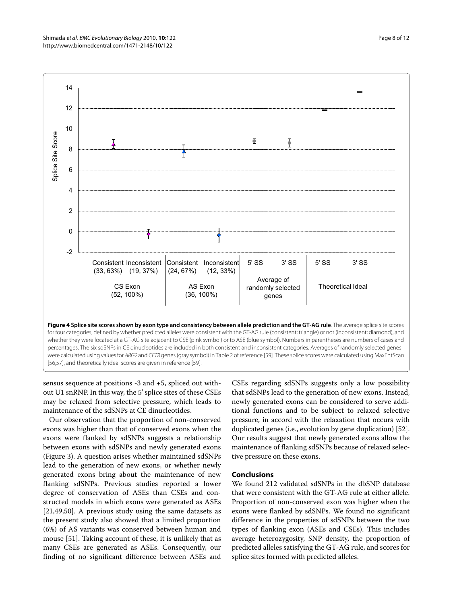<span id="page-7-0"></span>

sensus sequence at positions -3 and +5, spliced out without U1 snRNP. In this way, the 5' splice sites of these CSEs may be relaxed from selective pressure, which leads to maintenance of the sdSNPs at CE dinucleotides.

Our observation that the proportion of non-conserved exons was higher than that of conserved exons when the exons were flanked by sdSNPs suggests a relationship between exons with sdSNPs and newly generated exons (Figure [3](#page-5-0)). A question arises whether maintained sdSNPs lead to the generation of new exons, or whether newly generated exons bring about the maintenance of new flanking sdSNPs. Previous studies reported a lower degree of conservation of ASEs than CSEs and constructed models in which exons were generated as ASEs [[21,](#page-10-20)[49,](#page-11-19)[50\]](#page-11-20). A previous study using the same datasets as the present study also showed that a limited proportion (6%) of AS variants was conserved between human and mouse [[51](#page-11-12)]. Taking account of these, it is unlikely that as many CSEs are generated as ASEs. Consequently, our finding of no significant difference between ASEs and

CSEs regarding sdSNPs suggests only a low possibility that sdSNPs lead to the generation of new exons. Instead, newly generated exons can be considered to serve additional functions and to be subject to relaxed selective pressure, in accord with the relaxation that occurs with duplicated genes (i.e., evolution by gene duplication) [\[52](#page-11-21)]. Our results suggest that newly generated exons allow the maintenance of flanking sdSNPs because of relaxed selective pressure on these exons.

#### **Conclusions**

We found 212 validated sdSNPs in the dbSNP database that were consistent with the GT-AG rule at either allele. Proportion of non-conserved exon was higher when the exons were flanked by sdSNPs. We found no significant difference in the properties of sdSNPs between the two types of flanking exon (ASEs and CSEs). This includes average heterozygosity, SNP density, the proportion of predicted alleles satisfying the GT-AG rule, and scores for splice sites formed with predicted alleles.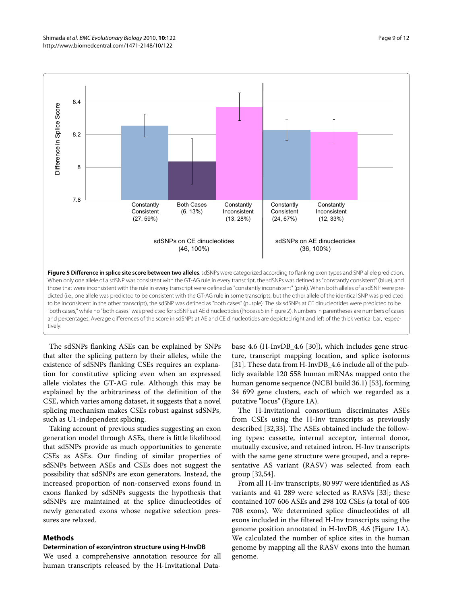<span id="page-8-0"></span>

The sdSNPs flanking ASEs can be explained by SNPs that alter the splicing pattern by their alleles, while the existence of sdSNPs flanking CSEs requires an explanation for constitutive splicing even when an expressed allele violates the GT-AG rule. Although this may be explained by the arbitrariness of the definition of the CSE, which varies among dataset, it suggests that a novel splicing mechanism makes CSEs robust against sdSNPs, such as U1-independent splicing.

Taking account of previous studies suggesting an exon generation model through ASEs, there is little likelihood that sdSNPs provide as much opportunities to generate CSEs as ASEs. Our finding of similar properties of sdSNPs between ASEs and CSEs does not suggest the possibility that sdSNPs are exon generators. Instead, the increased proportion of non-conserved exons found in exons flanked by sdSNPs suggests the hypothesis that sdSNPs are maintained at the splice dinucleotides of newly generated exons whose negative selection pressures are relaxed.

#### **Methods**

#### **Determination of exon/intron structure using H-InvDB**

We used a comprehensive annotation resource for all human transcripts released by the H-Invitational Data-

base 4.6 (H-InvDB\_4.6 [\[30](#page-11-3)]), which includes gene structure, transcript mapping location, and splice isoforms [[31\]](#page-11-4). These data from H-InvDB\_4.6 include all of the publicly available 120 558 human mRNAs mapped onto the human genome sequence (NCBI build 36.1) [\[53](#page-11-25)], forming 34 699 gene clusters, each of which we regarded as a putative "locus" (Figure [1A](#page-2-0)).

The H-Invitational consortium discriminates ASEs from CSEs using the H-Inv transcripts as previously described [\[32](#page-11-5)[,33](#page-11-26)]. The ASEs obtained include the following types: cassette, internal acceptor, internal donor, mutually excusive, and retained intron. H-Inv transcripts with the same gene structure were grouped, and a representative AS variant (RASV) was selected from each group [\[32](#page-11-5)[,54](#page-11-27)].

From all H-Inv transcripts, 80 997 were identified as AS variants and 41 289 were selected as RASVs [\[33](#page-11-26)]; these contained 107 606 ASEs and 298 102 CSEs (a total of 405 708 exons). We determined splice dinucleotides of all exons included in the filtered H-Inv transcripts using the genome position annotated in H-InvDB\_4.6 (Figure [1](#page-2-0)A). We calculated the number of splice sites in the human genome by mapping all the RASV exons into the human genome.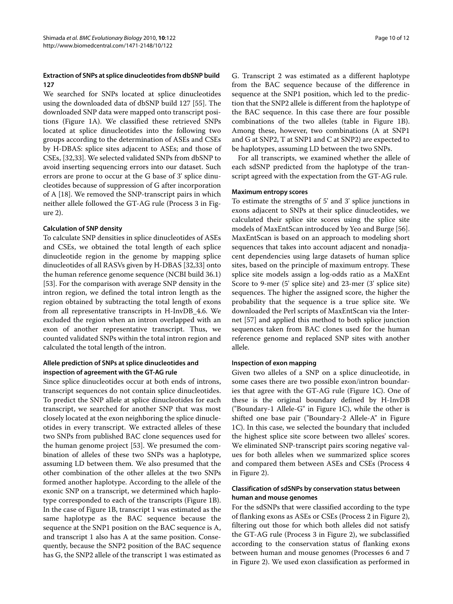## **Extraction of SNPs at splice dinucleotides from dbSNP build 127**

We searched for SNPs located at splice dinucleotides using the downloaded data of dbSNP build 127 [\[55](#page-11-28)]. The downloaded SNP data were mapped onto transcript positions (Figure [1](#page-2-0)A). We classified these retrieved SNPs located at splice dinucleotides into the following two groups according to the determination of ASEs and CSEs by H-DBAS: splice sites adjacent to ASEs; and those of CSEs, [[32,](#page-11-5)[33\]](#page-11-26). We selected validated SNPs from dbSNP to avoid inserting sequencing errors into our dataset. Such errors are prone to occur at the G base of 3' splice dinucleotides because of suppression of G after incorporation of A [[18\]](#page-10-17). We removed the SNP-transcript pairs in which neither allele followed the GT-AG rule (Process 3 in Figure [2](#page-3-0)).

#### **Calculation of SNP density**

To calculate SNP densities in splice dinucleotides of ASEs and CSEs, we obtained the total length of each splice dinucleotide region in the genome by mapping splice dinucleotides of all RASVs given by H-DBAS [\[32](#page-11-5)[,33](#page-11-26)] onto the human reference genome sequence (NCBI build 36.1) [[53\]](#page-11-25). For the comparison with average SNP density in the intron region, we defined the total intron length as the region obtained by subtracting the total length of exons from all representative transcripts in H-InvDB\_4.6. We excluded the region when an intron overlapped with an exon of another representative transcript. Thus, we counted validated SNPs within the total intron region and calculated the total length of the intron.

### **Allele prediction of SNPs at splice dinucleotides and inspection of agreement with the GT-AG rule**

Since splice dinucleotides occur at both ends of introns, transcript sequences do not contain splice dinucleotides. To predict the SNP allele at splice dinucleotides for each transcript, we searched for another SNP that was most closely located at the exon neighboring the splice dinucleotides in every transcript. We extracted alleles of these two SNPs from published BAC clone sequences used for the human genome project [[53\]](#page-11-25). We presumed the combination of alleles of these two SNPs was a haplotype, assuming LD between them. We also presumed that the other combination of the other alleles at the two SNPs formed another haplotype. According to the allele of the exonic SNP on a transcript, we determined which haplotype corresponded to each of the transcripts (Figure [1](#page-2-0)B). In the case of Figure [1](#page-2-0)B, transcript 1 was estimated as the same haplotype as the BAC sequence because the sequence at the SNP1 position on the BAC sequence is A, and transcript 1 also has A at the same position. Consequently, because the SNP2 position of the BAC sequence has G, the SNP2 allele of the transcript 1 was estimated as G. Transcript 2 was estimated as a different haplotype from the BAC sequence because of the difference in sequence at the SNP1 position, which led to the prediction that the SNP2 allele is different from the haplotype of the BAC sequence. In this case there are four possible combinations of the two alleles (table in Figure [1](#page-2-0)B). Among these, however, two combinations (A at SNP1 and G at SNP2, T at SNP1 and C at SNP2) are expected to be haplotypes, assuming LD between the two SNPs.

For all transcripts, we examined whether the allele of each sdSNP predicted from the haplotype of the transcript agreed with the expectation from the GT-AG rule.

#### **Maximum entropy scores**

To estimate the strengths of 5' and 3' splice junctions in exons adjacent to SNPs at their splice dinucleotides, we calculated their splice site scores using the splice site models of MaxEntScan introduced by Yeo and Burge [\[56](#page-11-23)]. MaxEntScan is based on an approach to modeling short sequences that takes into account adjacent and nonadjacent dependencies using large datasets of human splice sites, based on the principle of maximum entropy. These splice site models assign a log-odds ratio as a MaXEnt Score to 9-mer (5' splice site) and 23-mer (3' splice site) sequences. The higher the assigned score, the higher the probability that the sequence is a true splice site. We downloaded the Perl scripts of MaxEntScan via the Internet [\[57](#page-11-24)] and applied this method to both splice junction sequences taken from BAC clones used for the human reference genome and replaced SNP sites with another allele.

#### **Inspection of exon mapping**

Given two alleles of a SNP on a splice dinucleotide, in some cases there are two possible exon/intron boundaries that agree with the GT-AG rule (Figure [1C](#page-2-0)). One of these is the original boundary defined by H-InvDB ("Boundary-1 Allele-G" in Figure [1C](#page-2-0)), while the other is shifted one base pair ("Boundary-2 Allele-A" in Figure [1C](#page-2-0)). In this case, we selected the boundary that included the highest splice site score between two alleles' scores. We eliminated SNP-transcript pairs scoring negative values for both alleles when we summarized splice scores and compared them between ASEs and CSEs (Process 4 in Figure [2](#page-3-0)).

#### **Classification of sdSNPs by conservation status between human and mouse genomes**

For the sdSNPs that were classified according to the type of flanking exons as ASEs or CSEs (Process 2 in Figure [2](#page-3-0)), filtering out those for which both alleles did not satisfy the GT-AG rule (Process 3 in Figure [2\)](#page-3-0), we subclassified according to the conservation status of flanking exons between human and mouse genomes (Processes 6 and 7 in Figure [2\)](#page-3-0). We used exon classification as performed in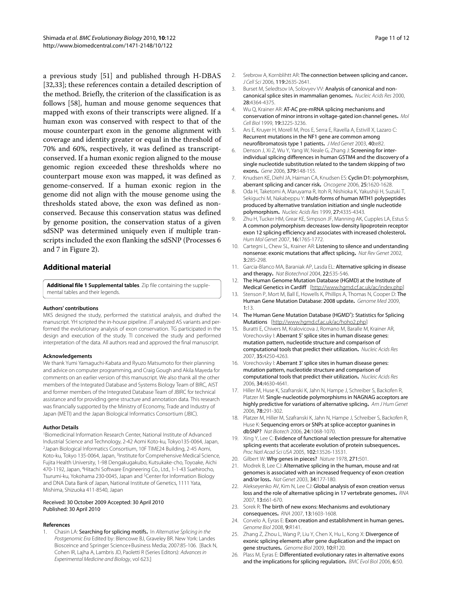a previous study [\[51\]](#page-11-12) and published through H-DBAS [[32,](#page-11-5)[33\]](#page-11-26); these references contain a detailed description of the method. Briefly, the criterion of the classification is as follows [[58](#page-11-29)], human and mouse genome sequences that mapped with exons of their transcripts were aligned. If a human exon was conserved with respect to that of the mouse counterpart exon in the genome alignment with coverage and identity greater or equal in the threshold of 70% and 60%, respectively, it was defined as transcriptconserved. If a human exonic region aligned to the mouse genomic region exceeded these thresholds where no counterpart mouse exon was mapped, it was defined as genome-conserved. If a human exonic region in the genome did not align with the mouse genome using the thresholds stated above, the exon was defined as nonconserved. Because this conservation status was defined by genome position, the conservation status of a given sdSNP was determined uniquely even if multiple transcripts included the exon flanking the sdSNP (Processes 6 and 7 in Figure [2\)](#page-3-0).

# **Additional material**

<span id="page-10-24"></span>**[Additional file 1](http://www.biomedcentral.com/content/supplementary/1471-2148-10-122-S1.ZIP) Supplemental tables**. Zip file containing the supplemental tables and their legends.

#### **Authors' contributions**

MKS designed the study, performed the statistical analysis, and drafted the manuscript. YH scripted the in-house pipeline. JT analyzed AS variants and performed the evolutionary analysis of exon conservation. TG participated in the design and execution of the study. TI conceived the study and performed interpretation of the data. All authors read and approved the final manuscript.

#### **Acknowledgements**

We thank Yumi Yamaguchi-Kabata and Ryuzo Matsumoto for their planning and advice on computer programming, and Craig Gough and Akila Mayeda for comments on an earlier version of this manuscript. We also thank all the other members of the Integrated Database and Systems Biology Team of BIRC, AIST and former members of the Integrated Database Team of JBIRC for technical assistance and for providing gene structure and annotation data. This research was financially supported by the Ministry of Economy, Trade and Industry of Japan (METI) and the Japan Biological Informatics Consortium (JBIC).

#### **Author Details**

1Biomedicinal Information Research Center, National Institute of Advanced Industrial Science and Technology, 2-42 Aomi Koto-ku, Tokyo135-0064, Japan, 2Japan Biological Informatics Consortium, 10F TIME24 Building, 2-45 Aomi, Koto-ku, Tokyo 135-0064, Japan, 3Institute for Comprehensive Medical Science, Fujita Health University, 1-98 Dengakugakubo, Kutsukake-cho, Toyoake, Aichi 470-1192, Japan, 4Hitachi Software Engineering Co., Ltd., 1-1-43 Suehirocho, Tsurumi-ku, Yokohama 230-0045, Japan and 5Center for Information Biology and DNA Data Bank of Japan, National Institute of Genetics, 1111 Yata, Mishima, Shizuoka 411-8540, Japan

#### Received: 30 October 2009 Accepted: 30 April 2010 Published: 30 April 2010

#### **References**

<span id="page-10-0"></span>1. Chasin LA: Searching for splicing motifs**.** In Alternative Splicing in the Postgenomic Era Edited by: Blencowe BJ, Graveley BR. New York: Landes Biosceince and Springer Science+Business Media; 2007:85-106. [Back N, Cohen IR, Lajha A, Lambris JD, Paoletti R (Series Editors): Advances in Experimental Medicine and Biology, vol 623.]

- <span id="page-10-1"></span>2. Srebrow A, Kornblihtt AR: The connection between splicing and cancer**.** J Cell Sci 2006, 119:2635-2641.
- <span id="page-10-2"></span>3. Burset M, Seledtsov IA, Solovyev W: Analysis of canonical and noncanonical splice sites in mammalian genomes**.** Nucleic Acids Res 2000, 28:4364-4375.
- <span id="page-10-3"></span>4. Wu Q, Krainer AR: AT-AC pre-mRNA splicing mechanisms and conservation of minor introns in voltage-gated ion channel genes**.** Mol Cell Biol 1999, 19:3225-3236.
- <span id="page-10-4"></span>5. Ars E, Kruyer H, Morell M, Pros E, Serra E, Ravella A, Estivill X, Lazaro C: Recurrent mutations in the NF1 gene are common among neurofibromatosis type 1 patients**.** J Med Genet 2003, 40:e82.
- <span id="page-10-5"></span>6. Denson J, Xi Z, Wu Y, Yang W, Neale G, Zhang J: Screening for interindividual splicing differences in human GSTM4 and the discovery of a single nucleotide substitution related to the tandem skipping of two exons**.** Gene 2006, 379:148-155.
- <span id="page-10-6"></span>7. Knudsen KE, Diehl JA, Haiman CA, Knudsen ES: Cyclin D1: polymorphism, aberrant splicing and cancer risk**[.](http://www.ncbi.nlm.nih.gov/entrez/query.fcgi?cmd=Retrieve&db=PubMed&dopt=Abstract&list_uids=16550162)** Oncogene 2006, 25:1620-1628.
- <span id="page-10-7"></span>8. Oda H, Taketomi A, Maruyama R, Itoh R, Nishioka K, Yakushiji H, Suzuki T, Sekiguchi M, Nakabeppu Y: Multi-forms of human MTH1 polypeptides produced by alternative translation initiation and single nucleotide polymorphism**.** Nucleic Acids Res 1999, 27:4335-4343.
- <span id="page-10-8"></span>9. Zhu H, Tucker HM, Grear KE, Simpson JF, Manning AK, Cupples LA, Estus S: A common polymorphism decreases low-density lipoprotein receptor exon 12 splicing efficiency and associates with increased cholesterol**.** Hum Mol Genet 2007, 16:1765-1772.
- <span id="page-10-9"></span>10. Cartegni L, Chew SL, Krainer AR: Listening to silence and understanding nonsense: exonic mutations that affect splicing**.** Nat Rev Genet 2002, 3:285-298.
- <span id="page-10-10"></span>11. Garcia-Blanco MA, Baraniak AP, Lasda EL: Alternative splicing in disease and therapy**[.](http://www.ncbi.nlm.nih.gov/entrez/query.fcgi?cmd=Retrieve&db=PubMed&dopt=Abstract&list_uids=15122293)** Nat Biotechnol 2004, 22:535-546.
- <span id="page-10-11"></span>12. The Human Genome Mutation Database (HGMD) at the Institute of Medical Genetics in Cardiff [<http://www.hgmd.cf.ac.uk/ac/index.php>]
- <span id="page-10-12"></span>13. Stenson P, Mort M, Ball E, Howells K, Phillips A, Thomas N, Cooper D: The Human Gene Mutation Database: 2008 update**.** Genome Med 2009, 1:13.
- <span id="page-10-13"></span>14. The Human Gene Mutation Database (HGMD<sup>®</sup>): Statistics for Splicing Mutations [\[http://www.hgmd.cf.ac.uk/ac/hoho2.php](http://www.hgmd.cf.ac.uk/ac/hoho2.php)]
- <span id="page-10-14"></span>15. Buratti E, Chivers M, Kralovicova J, Romano M, Baralle M, Krainer AR, Vorechovsky I: Aberrant 5' splice sites in human disease genes: mutation pattern, nucleotide structure and comparison of computational tools that predict their utilization**.** Nucleic Acids Res 2007, 35:4250-4263.
- <span id="page-10-15"></span>16. Vorechovsky I: Aberrant 3' splice sites in human disease genes: mutation pattern, nucleotide structure and comparison of computational tools that predict their utilization**.** Nucleic Acids Res 2006, 34:4630-4641.
- <span id="page-10-16"></span>17. Hiller M, Huse K, Szafranski K, Jahn N, Hampe J, Schreiber S, Backofen R, Platzer M: Single-nucleotide polymorphisms in NAGNAG acceptors are highly predictive for variations of alternative splicing**.** Am J Hum Genet 2006, 78:291-302.
- <span id="page-10-17"></span>18. Platzer M, Hiller M, Szafranski K, Jahn N, Hampe J, Schreiber S, Backofen R, Huse K: Sequencing errors or SNPs at splice-acceptor guanines in dbSNP? Nat Biotech 2006, 24:1068-1070.
- <span id="page-10-18"></span>19. Xing Y, Lee C: Evidence of functional selection pressure for alternative splicing events that accelerate evolution of protein subsequences**[.](http://www.ncbi.nlm.nih.gov/entrez/query.fcgi?cmd=Retrieve&db=PubMed&dopt=Abstract&list_uids=16157889)** Proc Natl Acad Sci USA 2005, 102:13526-13531.
- <span id="page-10-19"></span>20. Gilbert W: Why genes in pieces? Nature 1978, 271:501.
- <span id="page-10-20"></span>21. Modrek B, Lee CJ: Alternative splicing in the human, mouse and rat genomes is associated with an increased frequency of exon creation and/or loss**.** Nat Genet 2003, 34:177-180.
- 22. Alekseyenko AV, Kim N, Lee CJ: Global analysis of exon creation versus loss and the role of alternative splicing in 17 vertebrate genomes**.** RNA 2007, 13:661-670.
- 23. Sorek R: The birth of new exons: Mechanisms and evolutionary consequences**.** RNA 2007, 13:1603-1608.
- <span id="page-10-21"></span>24. Corvelo A, Eyras E: Exon creation and establishment in human genes**.** Genome Biol 2008, 9:R141.
- <span id="page-10-22"></span>25. Zhang Z, Zhou L, Wang P, Liu Y, Chen X, Hu L, Kong X: Divergence of exonic splicing elements after gene duplication and the impact on gene structures**[.](http://www.ncbi.nlm.nih.gov/entrez/query.fcgi?cmd=Retrieve&db=PubMed&dopt=Abstract&list_uids=19883501)** Genome Biol 2009, 10:R120.
- <span id="page-10-23"></span>26. Plass M, Eyras E: Differentiated evolutionary rates in alternative exons and the implications for splicing regulation**[.](http://www.ncbi.nlm.nih.gov/entrez/query.fcgi?cmd=Retrieve&db=PubMed&dopt=Abstract&list_uids=16792801)** BMC Evol Biol 2006, 6:50.